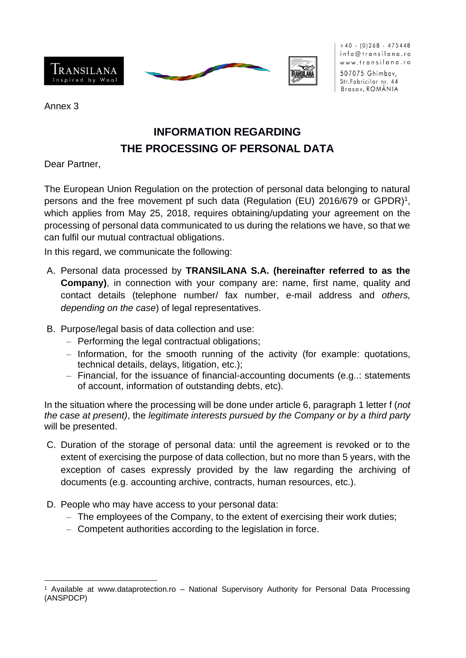

 $+40$  - (0)268 - 475448 info@transilana.ro www.transilana.ro 507075 Ghimbav,

Str. Fabricilor nr. 44 Brasov, ROMÂNIA

Annex 3

## **INFORMATION REGARDING THE PROCESSING OF PERSONAL DATA**

Dear Partner,

The European Union Regulation on the protection of personal data belonging to natural persons and the free movement pf such data (Regulation (EU) 2016/679 or GPDR)<sup>1</sup>, which applies from May 25, 2018, requires obtaining/updating your agreement on the processing of personal data communicated to us during the relations we have, so that we can fulfil our mutual contractual obligations.

In this regard, we communicate the following:

- A. Personal data processed by **TRANSILANA S.A. (hereinafter referred to as the Company)**, in connection with your company are: name, first name, quality and contact details (telephone number/ fax number, e-mail address and *others, depending on the case*) of legal representatives.
- B. Purpose/legal basis of data collection and use:
	- ‒ Performing the legal contractual obligations;
	- ‒ Information, for the smooth running of the activity (for example: quotations, technical details, delays, litigation, etc.);
	- ‒ Financial, for the issuance of financial-accounting documents (e.g..: statements of account, information of outstanding debts, etc).

In the situation where the processing will be done under article 6, paragraph 1 letter f (*not the case at present)*, the *legitimate interests pursued by the Company or by a third party*  will be presented.

- C. Duration of the storage of personal data: until the agreement is revoked or to the extent of exercising the purpose of data collection, but no more than 5 years, with the exception of cases expressly provided by the law regarding the archiving of documents (e.g. accounting archive, contracts, human resources, etc.).
- D. People who may have access to your personal data:
	- ‒ The employees of the Company, to the extent of exercising their work duties;
	- Competent authorities according to the legislation in force.

<sup>1</sup> Available at www.dataprotection.ro – National Supervisory Authority for Personal Data Processing (ANSPDCP)